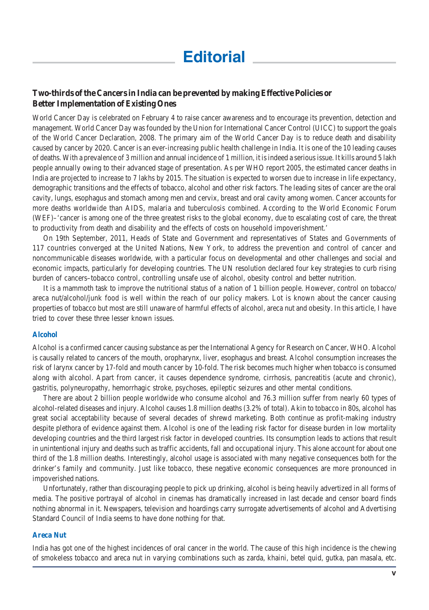# **Two-thirds of the Cancers in India can be prevented by making Effective Policies or Better Implementation of Existing Ones**

World Cancer Day is celebrated on February 4 to raise cancer awareness and to encourage its prevention, detection and management. World Cancer Day was founded by the Union for International Cancer Control (UICC) to support the goals of the World Cancer Declaration, 2008. The primary aim of the World Cancer Day is to reduce death and disability caused by cancer by 2020. Cancer is an ever-increasing public health challenge in India. It is one of the 10 leading causes of deaths. With a prevalence of 3 million and annual incidence of 1 million, it is indeed a serious issue. It kills around 5 lakh people annually owing to their advanced stage of presentation. As per WHO report 2005, the estimated cancer deaths in India are projected to increase to 7 lakhs by 2015. The situation is expected to worsen due to increase in life expectancy, demographic transitions and the effects of tobacco, alcohol and other risk factors. The leading sites of cancer are the oral cavity, lungs, esophagus and stomach among men and cervix, breast and oral cavity among women. Cancer accounts for more deaths worldwide than AIDS, malaria and tuberculosis combined. According to the World Economic Forum (WEF)–'cancer is among one of the three greatest risks to the global economy, due to escalating cost of care, the threat to productivity from death and disability and the effects of costs on household impoverishment.'

On 19th September, 2011, Heads of State and Government and representatives of States and Governments of 117 countries converged at the United Nations, New York, to address the prevention and control of cancer and noncommunicable diseases worldwide, with a particular focus on developmental and other challenges and social and economic impacts, particularly for developing countries. The UN resolution declared four key strategies to curb rising burden of cancers–tobacco control, controlling unsafe use of alcohol, obesity control and better nutrition.

It is a mammoth task to improve the nutritional status of a nation of 1 billion people. However, control on tobacco/ areca nut/alcohol/junk food is well within the reach of our policy makers. Lot is known about the cancer causing properties of tobacco but most are still unaware of harmful effects of alcohol, areca nut and obesity. In this article, I have tried to cover these three lesser known issues.

### **Alcohol**

Alcohol is a confirmed cancer causing substance as per the International Agency for Research on Cancer, WHO. Alcohol is causally related to cancers of the mouth, oropharynx, liver, esophagus and breast. Alcohol consumption increases the risk of larynx cancer by 17-fold and mouth cancer by 10-fold. The risk becomes much higher when tobacco is consumed along with alcohol. Apart from cancer, it causes dependence syndrome, cirrhosis, pancreatitis (acute and chronic), gastritis, polyneuropathy, hemorrhagic stroke, psychoses, epileptic seizures and other mental conditions.

There are about 2 billion people worldwide who consume alcohol and 76.3 million suffer from nearly 60 types of alcohol-related diseases and injury. Alcohol causes 1.8 million deaths (3.2% of total). Akin to tobacco in 80s, alcohol has great social acceptability because of several decades of shrewd marketing. Both continue as profit-making industry despite plethora of evidence against them. Alcohol is one of the leading risk factor for disease burden in low mortality developing countries and the third largest risk factor in developed countries. Its consumption leads to actions that result in unintentional injury and deaths such as traffic accidents, fall and occupational injury. This alone account for about one third of the 1.8 million deaths. Interestingly, alcohol usage is associated with many negative consequences both for the drinker's family and community. Just like tobacco, these negative economic consequences are more pronounced in impoverished nations.

Unfortunately, rather than discouraging people to pick up drinking, alcohol is being heavily advertized in all forms of media. The positive portrayal of alcohol in cinemas has dramatically increased in last decade and censor board finds nothing abnormal in it. Newspapers, television and hoardings carry surrogate advertisements of alcohol and Advertising Standard Council of India seems to have done nothing for that.

#### **Areca Nut**

India has got one of the highest incidences of oral cancer in the world. The cause of this high incidence is the chewing of smokeless tobacco and areca nut in varying combinations such as zarda, khaini, betel quid, gutka, pan masala, etc.